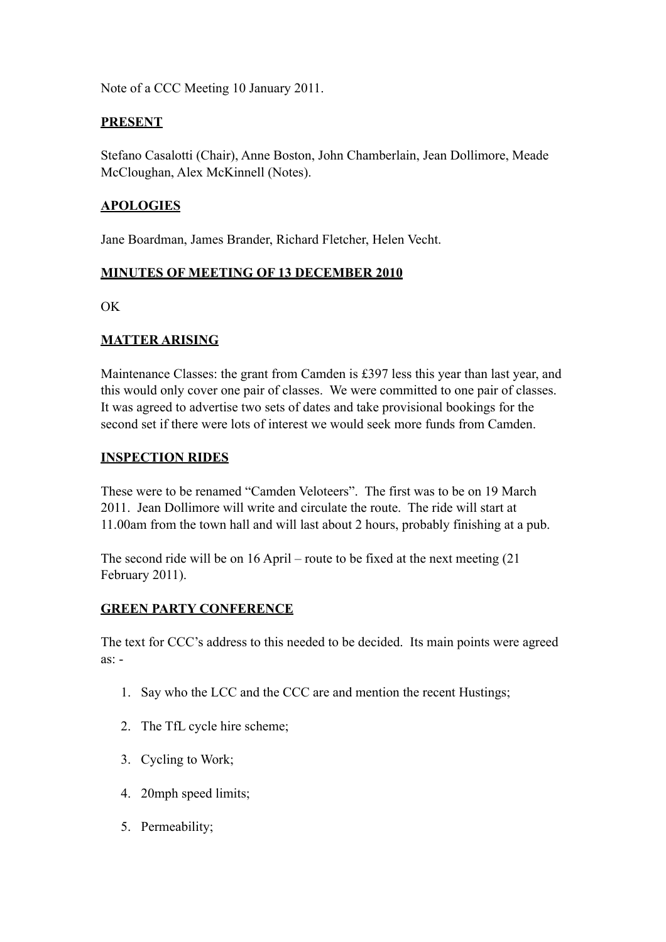Note of a CCC Meeting 10 January 2011.

#### **PRESENT**

Stefano Casalotti (Chair), Anne Boston, John Chamberlain, Jean Dollimore, Meade McCloughan, Alex McKinnell (Notes).

### **APOLOGIES**

Jane Boardman, James Brander, Richard Fletcher, Helen Vecht.

### **MINUTES OF MEETING OF 13 DECEMBER 2010**

OK

### **MATTER ARISING**

Maintenance Classes: the grant from Camden is £397 less this year than last year, and this would only cover one pair of classes. We were committed to one pair of classes. It was agreed to advertise two sets of dates and take provisional bookings for the second set if there were lots of interest we would seek more funds from Camden.

#### **INSPECTION RIDES**

These were to be renamed "Camden Veloteers". The first was to be on 19 March 2011. Jean Dollimore will write and circulate the route. The ride will start at 11.00am from the town hall and will last about 2 hours, probably finishing at a pub.

The second ride will be on 16 April – route to be fixed at the next meeting (21 February 2011).

# **GREEN PARTY CONFERENCE**

The text for CCC's address to this needed to be decided. Its main points were agreed as: -

- 1. Say who the LCC and the CCC are and mention the recent Hustings;
- 2. The TfL cycle hire scheme;
- 3. Cycling to Work;
- 4. 20mph speed limits;
- 5. Permeability;